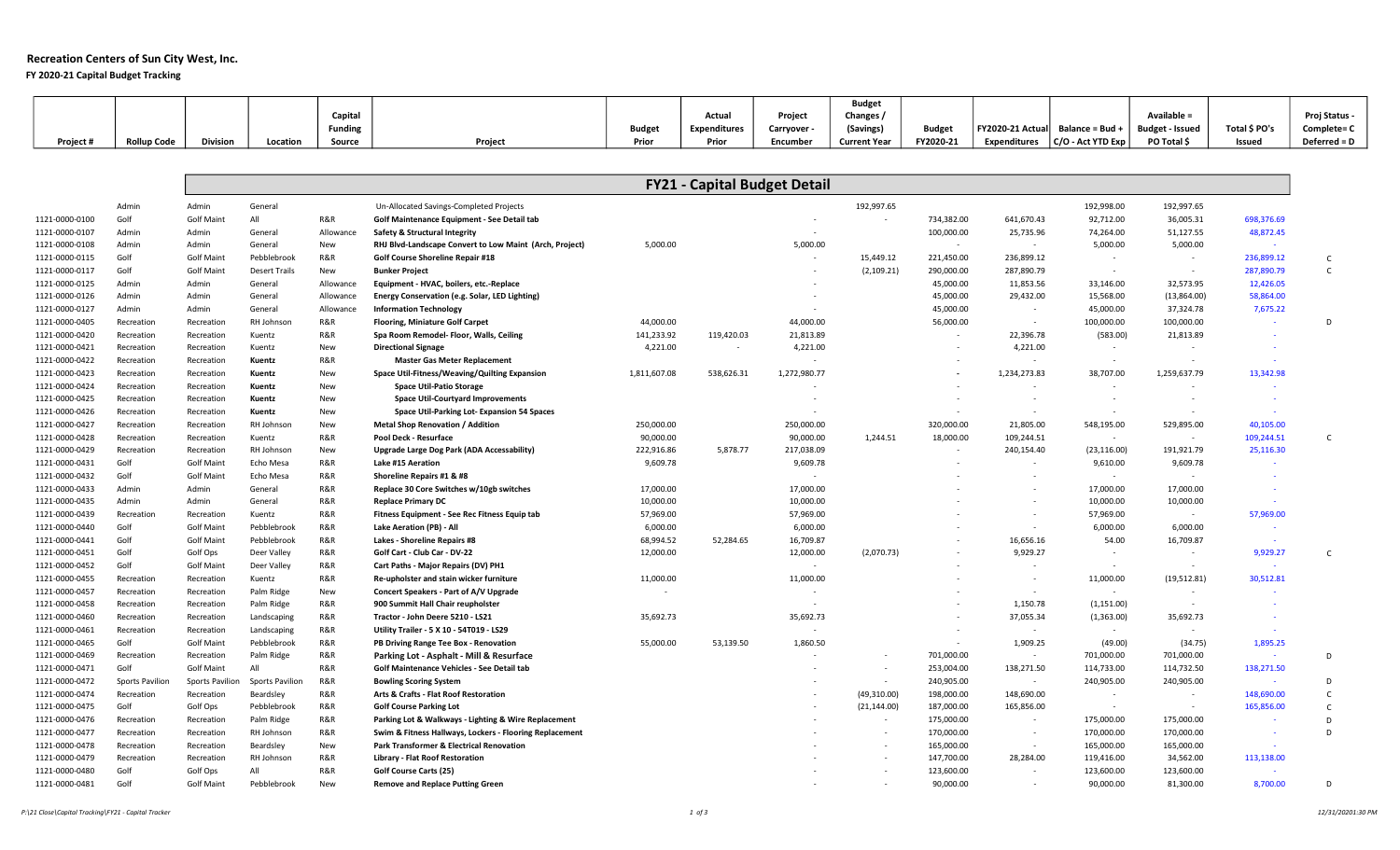## Recreation Centers of Sun City West, Inc.

FY 2020-21 Capital Budget Tracking

|           |                    |                 |          |                |         |        |                     |           | <b>Budget</b>       |               |                                                  |                    |               |               |
|-----------|--------------------|-----------------|----------|----------------|---------|--------|---------------------|-----------|---------------------|---------------|--------------------------------------------------|--------------------|---------------|---------------|
|           |                    |                 |          | Capital        |         |        | Actual              | Project   | Changes /           |               |                                                  | <b>Available =</b> |               | Proj Status - |
|           |                    |                 |          | <b>Funding</b> |         | Budget | <b>Expenditures</b> | Carryover | (Savings)           | <b>Budget</b> | FY2020-21 Actual   Balance = Bud + $\frac{1}{2}$ | Budget - Issued    | Total \$ PO's | Complete= C   |
| Project # | <b>Rollup Code</b> | <b>Division</b> | Location | Source         | Project | Prior  | Prior               | Encumber  | <b>Current Year</b> | FY2020-21     | Expenditures $ C/O$ - Act YTD Exp                | PO Total \$        | Issued        | Deferred = D  |

|                |                 |                   |                      |           |                                                         |              | <b>FY21 - Capital Budget Detail</b> |              |              |            |                          |              |                          |            |
|----------------|-----------------|-------------------|----------------------|-----------|---------------------------------------------------------|--------------|-------------------------------------|--------------|--------------|------------|--------------------------|--------------|--------------------------|------------|
|                | Admin           | Admin             | General              |           | Un-Allocated Savings-Completed Projects                 |              |                                     |              | 192,997.65   |            |                          | 192,998.00   | 192,997.65               |            |
| 1121-0000-0100 | Golf            | <b>Golf Maint</b> | All                  | R&R       | Golf Maintenance Equipment - See Detail tab             |              |                                     |              |              | 734,382.00 | 641,670.43               | 92,712.00    | 36,005.31                | 698,376.69 |
| 1121-0000-0107 | Admin           | Admin             | General              | Allowance | Safety & Structural Integrity                           |              |                                     |              |              | 100,000.00 | 25,735.96                | 74,264.00    | 51,127.55                | 48,872.45  |
| 1121-0000-0108 | Admin           | Admin             | General              | New       | RHJ Blvd-Landscape Convert to Low Maint (Arch, Project) | 5,000.00     |                                     | 5,000.00     |              | $\sim$     | $\sim$                   | 5,000.00     | 5,000.00                 | $\sim$     |
| 1121-0000-0115 | Golf            | <b>Golf Maint</b> | Pebblebrook          | R&R       | Golf Course Shoreline Repair #18                        |              |                                     |              | 15,449.12    | 221,450.00 | 236,899.12               | $\sim$       | $\sim$                   | 236,899.12 |
| 1121-0000-0117 | Golf            | <b>Golf Maint</b> | <b>Desert Trails</b> | New       | <b>Bunker Project</b>                                   |              |                                     |              | (2, 109.21)  | 290,000.00 | 287,890.79               |              | $\sim$                   | 287,890.79 |
| 1121-0000-0125 | Admin           | Admin             | General              | Allowance | Equipment - HVAC, boilers, etc.-Replace                 |              |                                     |              |              | 45,000.00  | 11,853.56                | 33,146.00    | 32,573.95                | 12,426.05  |
| 1121-0000-0126 | Admin           | Admin             | General              | Allowance | Energy Conservation (e.g. Solar, LED Lighting)          |              |                                     |              |              | 45,000.00  | 29,432.00                | 15,568.00    | (13,864.00)              | 58,864.00  |
| 1121-0000-0127 | Admin           | Admin             | General              | Allowance | <b>Information Technology</b>                           |              |                                     |              |              | 45,000.00  | $\sim$                   | 45,000.00    | 37,324.78                | 7,675.22   |
| 1121-0000-0405 | Recreation      | Recreation        | RH Johnson           | R&R       | <b>Flooring, Miniature Golf Carpet</b>                  | 44,000.00    |                                     | 44,000.00    |              | 56,000.00  | $\sim$ $-$               | 100,000.00   | 100,000.00               |            |
| 1121-0000-0420 | Recreation      | Recreation        | Kuentz               | R&R       | Spa Room Remodel- Floor, Walls, Ceiling                 | 141,233.92   | 119,420.03                          | 21,813.89    |              | $\sim$     | 22,396.78                | (583.00)     | 21,813.89                |            |
| 1121-0000-0421 | Recreation      | Recreation        | Kuentz               | New       | <b>Directional Signage</b>                              | 4,221.00     | $\sim$                              | 4,221.00     |              | $\sim$     | 4,221.00                 | $\sim$       | $\overline{\phantom{a}}$ |            |
| 1121-0000-0422 | Recreation      | Recreation        | Kuentz               | R&R       | <b>Master Gas Meter Replacement</b>                     |              |                                     |              |              |            | $\overline{\phantom{a}}$ | $\sim$       | $\sim$                   |            |
| 1121-0000-0423 | Recreation      | Recreation        | Kuentz               | New       | Space Util-Fitness/Weaving/Quilting Expansion           | 1,811,607.08 | 538,626.31                          | 1,272,980.77 |              |            | 1,234,273.83             | 38,707.00    | 1,259,637.79             | 13,342.98  |
| 1121-0000-0424 | Recreation      | Recreation        | Kuentz               | New       | <b>Space Util-Patio Storage</b>                         |              |                                     |              |              |            |                          |              |                          |            |
| 1121-0000-0425 | Recreation      | Recreation        | Kuentz               | New       | <b>Space Util-Courtyard Improvements</b>                |              |                                     |              |              | $\sim$     | $\sim$                   | $\sim$       | $\overline{\phantom{a}}$ | $\sim$     |
| 1121-0000-0426 | Recreation      | Recreation        | Kuentz               | New       | Space Util-Parking Lot-Expansion 54 Spaces              |              |                                     |              |              | $\sim$     | $\sim$                   |              | $\sim$                   |            |
| 1121-0000-0427 | Recreation      | Recreation        | RH Johnson           | New       | <b>Metal Shop Renovation / Addition</b>                 | 250,000.00   |                                     | 250,000.00   |              | 320,000.00 | 21,805.00                | 548,195.00   | 529,895.00               | 40,105.00  |
| 1121-0000-0428 | Recreation      | Recreation        | Kuentz               | R&R       | Pool Deck - Resurface                                   | 90,000.00    |                                     | 90,000.00    | 1,244.51     | 18,000.00  | 109,244.51               | $\sim$       | $\sim$                   | 109,244.51 |
| 1121-0000-0429 | Recreation      | Recreation        | RH Johnson           | New       | Upgrade Large Dog Park (ADA Accessability)              | 222,916.86   | 5,878.77                            | 217,038.09   |              |            | 240,154.40               | (23, 116.00) | 191,921.79               | 25,116.30  |
| 1121-0000-0431 | Golf            | <b>Golf Maint</b> | Echo Mesa            | R&R       | Lake #15 Aeration                                       | 9.609.78     |                                     | 9,609.78     |              |            |                          | 9,610.00     | 9,609.78                 |            |
| 1121-0000-0432 | Golf            | <b>Golf Maint</b> | Echo Mesa            | R&R       | Shoreline Repairs #1 & #8                               |              |                                     |              |              |            |                          | $\sim$       | $\sim$                   |            |
| 1121-0000-0433 | Admin           | Admin             | General              | R&R       | Replace 30 Core Switches w/10gb switches                | 17,000.00    |                                     | 17,000.00    |              |            |                          | 17,000.00    | 17,000.00                |            |
| 1121-0000-0435 | Admin           | Admin             | General              | R&R       | <b>Replace Primary DC</b>                               | 10,000.00    |                                     | 10,000.00    |              |            |                          | 10,000.00    | 10,000.00                |            |
| 1121-0000-0439 | Recreation      | Recreation        | Kuentz               | R&R       | Fitness Equipment - See Rec Fitness Equip tab           | 57,969.00    |                                     | 57,969.00    |              |            | $\sim$                   | 57,969.00    | $\sim$                   | 57,969.00  |
| 1121-0000-0440 | Golf            | <b>Golf Maint</b> | Pebblebrook          | R&R       | <b>Lake Aeration (PB) - All</b>                         | 6,000.00     |                                     | 6,000.00     |              |            | $\overline{\phantom{a}}$ | 6,000.00     | 6,000.00                 |            |
| 1121-0000-0441 | Golf            | <b>Golf Maint</b> | Pebblebrook          | R&R       | <b>Lakes - Shoreline Repairs #8</b>                     | 68,994.52    | 52,284.65                           | 16,709.87    |              |            | 16,656.16                | 54.00        | 16,709.87                |            |
| 1121-0000-0451 | Golf            | Golf Ops          | Deer Valley          | R&R       | Golf Cart - Club Car - DV-22                            | 12,000.00    |                                     | 12,000.00    | (2,070.73)   |            | 9,929.27                 | $\sim$       | $\sim$                   | 9,929.27   |
| 1121-0000-0452 | Golf            | <b>Golf Maint</b> | Deer Valley          | R&R       | Cart Paths - Major Repairs (DV) PH1                     |              |                                     | $\sim$       |              |            | $\sim$                   | $\sim$       | $\sim$                   |            |
| 1121-0000-0455 | Recreation      | Recreation        | Kuentz               | R&R       | Re-upholster and stain wicker furniture                 | 11,000.00    |                                     | 11,000.00    |              |            | $\overline{a}$           | 11,000.00    | (19,512.81)              | 30,512.81  |
| 1121-0000-0457 | Recreation      | Recreation        | Palm Ridge           | New       | Concert Speakers - Part of A/V Upgrade                  |              |                                     |              |              |            | $\sim$                   | $\sim$       | $\sim$                   |            |
| 1121-0000-0458 | Recreation      | Recreation        | Palm Ridge           | R&R       | 900 Summit Hall Chair reupholster                       |              |                                     |              |              |            | 1,150.78                 | (1, 151.00)  | $\sim$                   |            |
| 1121-0000-0460 | Recreation      | Recreation        | Landscaping          | R&R       | Tractor - John Deere 5210 - LS21                        | 35,692.73    |                                     | 35,692.73    |              |            | 37,055.34                | (1,363.00)   | 35,692.73                |            |
| 1121-0000-0461 | Recreation      | Recreation        | Landscaping          | R&R       | Utility Trailer - 5 X 10 - 54T019 - LS29                |              |                                     |              |              |            | $\sim$                   | $\sim$       | $\sim$                   |            |
| 1121-0000-0465 | Golf            | <b>Golf Maint</b> | Pebblebrook          | R&R       | PB Driving Range Tee Box - Renovation                   | 55,000.00    | 53,139.50                           | 1,860.50     |              | $\sim$     | 1,909.25                 | (49.00)      | (34.75)                  | 1,895.25   |
| 1121-0000-0469 | Recreation      | Recreation        | Palm Ridge           | R&R       | Parking Lot - Asphalt - Mill & Resurface                |              |                                     |              |              | 701,000.00 | $\sim$                   | 701,000.00   | 701,000.00               | $\sim$     |
| 1121-0000-0471 | Golf            | <b>Golf Maint</b> | All                  | R&R       | Golf Maintenance Vehicles - See Detail tab              |              |                                     |              |              | 253,004.00 | 138,271.50               | 114,733.00   | 114,732.50               | 138,271.50 |
| 1121-0000-0472 | Sports Pavilion | Sports Pavilion   | Sports Pavilion      | R&R       | <b>Bowling Scoring System</b>                           |              |                                     |              |              | 240,905.00 | $\sim$                   | 240,905.00   | 240,905.00               | $\sim$     |
| 1121-0000-0474 | Recreation      | Recreation        | Beardsley            | R&R       | Arts & Crafts - Flat Roof Restoration                   |              |                                     |              | (49,310.00)  | 198,000.00 | 148,690.00               | $\sim$       | $\overline{\phantom{a}}$ | 148,690.00 |
| 1121-0000-0475 | Golf            | Golf Ops          | Pebblebrook          | R&R       | <b>Golf Course Parking Lot</b>                          |              |                                     |              | (21, 144.00) | 187,000.00 | 165,856.00               | $\sim$       | $\sim$                   | 165,856.00 |
| 1121-0000-0476 | Recreation      | Recreation        | Palm Ridge           | R&R       | Parking Lot & Walkways - Lighting & Wire Replacement    |              |                                     |              |              | 175,000.00 | $\overline{\phantom{a}}$ | 175,000.00   | 175,000.00               |            |
| 1121-0000-0477 | Recreation      | Recreation        | RH Johnson           | R&R       | Swim & Fitness Hallways, Lockers - Flooring Replacement |              |                                     |              | $\sim$       | 170,000.00 | $\sim$                   | 170,000.00   | 170,000.00               | $\sim$     |
| 1121-0000-0478 | Recreation      | Recreation        | Beardsley            | New       | <b>Park Transformer &amp; Electrical Renovation</b>     |              |                                     |              |              | 165,000.00 | $\sim$                   | 165,000.00   | 165,000.00               |            |
| 1121-0000-0479 | Recreation      | Recreation        | RH Johnson           | R&R       | Library - Flat Roof Restoration                         |              |                                     |              |              | 147,700.00 | 28,284.00                | 119,416.00   | 34,562.00                | 113,138.00 |
|                | Golf            |                   | All                  | R&R       |                                                         |              |                                     |              |              | 123,600.00 |                          | 123,600.00   | 123,600.00               |            |
| 1121-0000-0480 |                 | Golf Ops          |                      |           | <b>Golf Course Carts (25)</b>                           |              |                                     |              |              |            |                          |              |                          |            |
| 1121-0000-0481 | Golf            | <b>Golf Maint</b> | Pebblebrook          | New       | <b>Remove and Replace Putting Green</b>                 |              |                                     |              |              | 90,000.00  | $\sim$                   | 90,000.00    | 81,300.00                | 8,700.00   |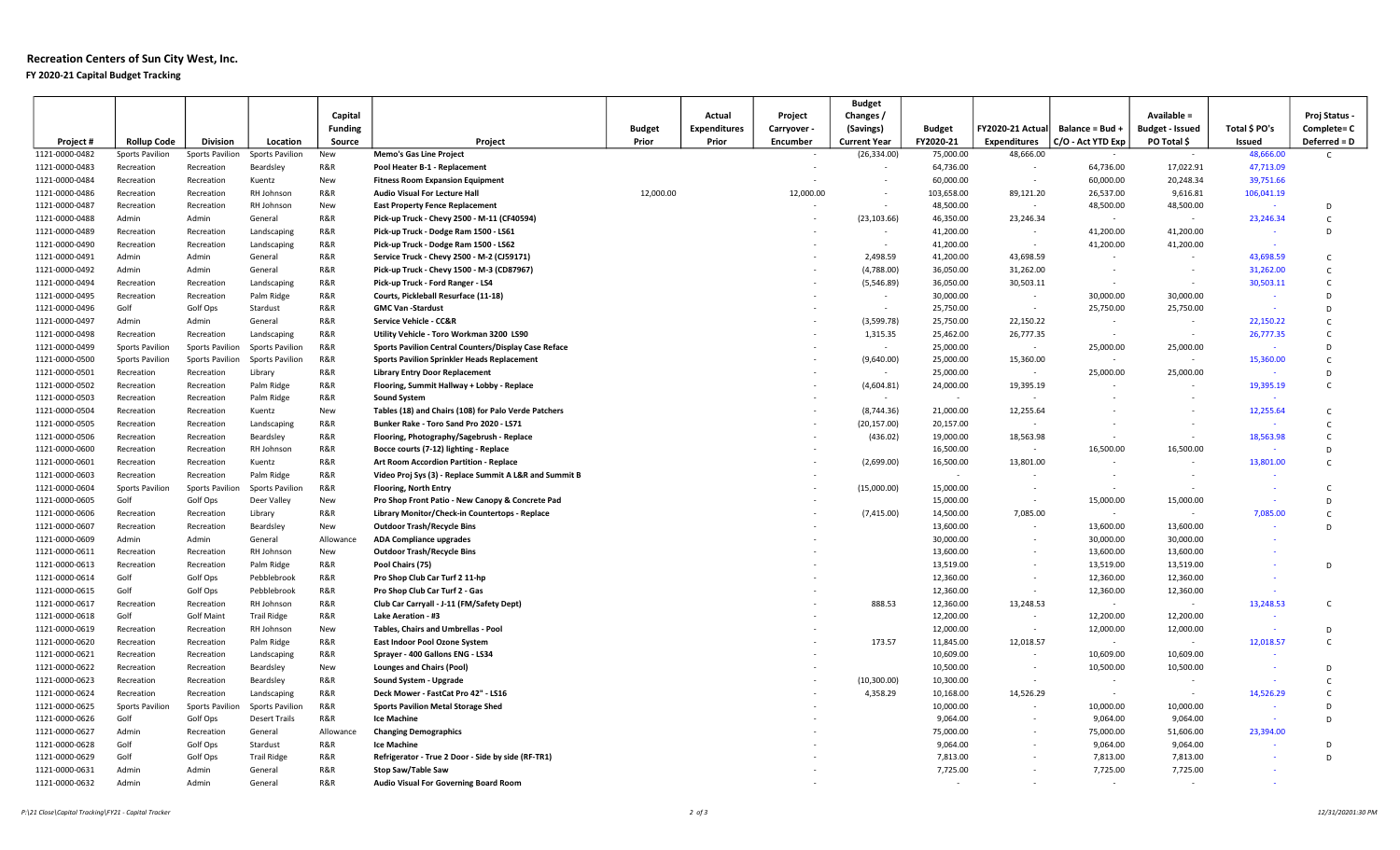## Recreation Centers of Sun City West, Inc. FY 2020-21 Capital Budget Tracking

|                                  |                        |                     |                            |                |                                                                                      |               |                     |             | <b>Budget</b>          |                          |                     |                          |                          |               |                   |
|----------------------------------|------------------------|---------------------|----------------------------|----------------|--------------------------------------------------------------------------------------|---------------|---------------------|-------------|------------------------|--------------------------|---------------------|--------------------------|--------------------------|---------------|-------------------|
|                                  |                        |                     |                            | Capital        |                                                                                      |               | Actual              | Project     | Changes /              |                          |                     |                          | Available =              |               | Proj Status -     |
|                                  |                        |                     |                            | <b>Funding</b> |                                                                                      | <b>Budget</b> | <b>Expenditures</b> | Carryover - | (Savings)              | <b>Budget</b>            | FY2020-21 Actual    | Balance = Bud +          | <b>Budget - Issued</b>   | Total \$ PO's | Complete= C       |
| Project#                         | <b>Rollup Code</b>     | <b>Division</b>     | Location                   | Source         | Project                                                                              | Prior         | Prior               | Encumber    | <b>Current Year</b>    | FY2020-21                | <b>Expenditures</b> | C/O - Act YTD Exp        | PO Total \$              | Issued        | Deferred = D      |
| 1121-0000-0482                   | <b>Sports Pavilion</b> | Sports Pavilion     | Sports Pavilion            | New            | <b>Memo's Gas Line Project</b>                                                       |               |                     |             | (26, 334.00)           | 75,000.00                | 48,666.00           |                          |                          | 48,666.00     | $\mathsf{C}$      |
| 1121-0000-0483                   | Recreation             | Recreation          | Beardsley                  | R&R            | Pool Heater B-1 - Replacement                                                        |               |                     |             |                        | 64,736.00                | $\sim$              | 64,736.00                | 17,022.91                | 47,713.09     |                   |
| 1121-0000-0484                   | Recreation             | Recreation          | Kuentz                     | New            | <b>Fitness Room Expansion Equipment</b>                                              |               |                     |             |                        | 60,000.00                | $\sim$              | 60,000.00                | 20,248.34                | 39,751.66     |                   |
| 1121-0000-0486                   | Recreation             | Recreation          | RH Johnson                 | R&R            | <b>Audio Visual For Lecture Hall</b>                                                 | 12,000.00     |                     | 12,000.00   |                        | 103,658.00               | 89,121.20<br>$\sim$ | 26,537.00                | 9,616.81                 | 106,041.19    |                   |
| 1121-0000-0487                   | Recreation             | Recreation          | RH Johnson                 | New            | <b>East Property Fence Replacement</b>                                               |               |                     |             |                        | 48,500.00                |                     | 48,500.00                | 48,500.00                |               | D                 |
| 1121-0000-0488<br>1121-0000-0489 | Admin<br>Recreation    | Admin<br>Recreation | General                    | R&R<br>R&R     | Pick-up Truck - Chevy 2500 - M-11 (CF40594)<br>Pick-up Truck - Dodge Ram 1500 - LS61 |               |                     |             | (23, 103.66)<br>$\sim$ | 46,350.00<br>41,200.00   | 23,246.34<br>$\sim$ | $\sim$<br>41,200.00      | $\sim$<br>41,200.00      | 23,246.34     | $\mathsf{C}$<br>D |
| 1121-0000-0490                   | Recreation             | Recreation          | Landscaping<br>Landscaping | R&R            | Pick-up Truck - Dodge Ram 1500 - LS62                                                |               |                     |             | $\sim$                 | 41,200.00                | $\sim$              | 41,200.00                | 41,200.00                |               |                   |
| 1121-0000-0491                   | Admin                  | Admin               | General                    | R&R            | Service Truck - Chevy 2500 - M-2 (CJ59171)                                           |               |                     |             | 2,498.59               | 41,200.00                | 43,698.59           | $\sim$                   | $\sim$                   | 43,698.59     | $\mathsf{C}$      |
| 1121-0000-0492                   | Admin                  | Admin               | General                    | R&R            | Pick-up Truck - Chevy 1500 - M-3 (CD87967)                                           |               |                     |             | (4,788.00)             | 36,050.00                | 31,262.00           | $\sim$                   | $\sim$                   | 31,262.00     | $\mathsf{C}$      |
| 1121-0000-0494                   | Recreation             | Recreation          | Landscaping                | R&R            | Pick-up Truck - Ford Ranger - LS4                                                    |               |                     |             | (5,546.89)             | 36,050.00                | 30,503.11           | $\sim$                   | $\sim$                   | 30,503.11     | $\mathsf{C}$      |
| 1121-0000-0495                   | Recreation             | Recreation          | Palm Ridge                 | R&R            | Courts, Pickleball Resurface (11-18)                                                 |               |                     |             | $\sim$                 | 30,000.00                | $\sim$              | 30,000.00                | 30,000.00                |               | D.                |
| 1121-0000-0496                   | Golf                   | Golf Ops            | Stardust                   | R&R            | <b>GMC Van -Stardust</b>                                                             |               |                     |             | $\sim$                 | 25,750.00                | $\sim$              | 25,750.00                | 25,750.00                |               | D                 |
| 1121-0000-0497                   | Admin                  | Admin               | General                    | R&R            | Service Vehicle - CC&R                                                               |               |                     |             | (3,599.78)             | 25,750.00                | 22,150.22           | $\sim$                   | $\sim$                   | 22,150.22     | $\mathsf{C}$      |
| 1121-0000-0498                   | Recreation             | Recreation          | Landscaping                | R&R            | Utility Vehicle - Toro Workman 3200 LS90                                             |               |                     |             | 1,315.35               | 25,462.00                | 26,777.35           | $\sim$                   | $\sim$                   | 26,777.35     | $\mathsf{C}$      |
| 1121-0000-0499                   | Sports Pavilion        | Sports Pavilion     | <b>Sports Pavilion</b>     | R&R            | Sports Pavilion Central Counters/Display Case Reface                                 |               |                     |             | $\sim$                 | 25,000.00                | $\sim$              | 25,000.00                | 25,000.00                |               | D                 |
| 1121-0000-0500                   | Sports Pavilion        | Sports Pavilion     | Sports Pavilion            | R&R            | <b>Sports Pavilion Sprinkler Heads Replacement</b>                                   |               |                     |             | (9,640.00)             | 25,000.00                | 15,360.00           | $\sim$                   | $\omega$                 | 15,360.00     | $\mathsf{C}$      |
| 1121-0000-0501                   | Recreation             | Recreation          | Library                    | R&R            | <b>Library Entry Door Replacement</b>                                                |               |                     |             | $\sim$                 | 25,000.00                | $\sim$              | 25,000.00                | 25,000.00                |               | D                 |
| 1121-0000-0502                   | Recreation             | Recreation          | Palm Ridge                 | R&R            | Flooring, Summit Hallway + Lobby - Replace                                           |               |                     |             | (4,604.81)             | 24,000.00                | 19,395.19           |                          |                          | 19,395.19     | $\mathsf{C}$      |
| 1121-0000-0503                   | Recreation             | Recreation          | Palm Ridge                 | R&R            | <b>Sound System</b>                                                                  |               |                     |             | $\sim$                 | $\overline{\phantom{a}}$ |                     |                          |                          |               |                   |
| 1121-0000-0504                   | Recreation             | Recreation          | Kuentz                     | New            | Tables (18) and Chairs (108) for Palo Verde Patchers                                 |               |                     |             | (8,744.36)             | 21,000.00                | 12,255.64           |                          |                          | 12,255.64     | $\mathsf{C}$      |
| 1121-0000-0505                   | Recreation             | Recreation          | Landscaping                | R&R            | Bunker Rake - Toro Sand Pro 2020 - LS71                                              |               |                     |             | (20, 157.00)           | 20,157.00                |                     |                          |                          |               | $\mathsf{C}$      |
| 1121-0000-0506                   | Recreation             | Recreation          | Beardsley                  | R&R            | Flooring, Photography/Sagebrush - Replace                                            |               |                     |             | (436.02)               | 19,000.00                | 18,563.98           | $\overline{\phantom{a}}$ | $\sim$                   | 18,563.98     | $\mathsf{C}$      |
| 1121-0000-0600                   | Recreation             | Recreation          | RH Johnson                 | R&R            | Bocce courts (7-12) lighting - Replace                                               |               |                     |             |                        | 16,500.00                | $\sim$              | 16,500.00                | 16,500.00                |               | D                 |
| 1121-0000-0601                   | Recreation             | Recreation          | Kuentz                     | R&R            | Art Room Accordion Partition - Replace                                               |               |                     |             | (2,699.00)             | 16,500.00                | 13,801.00           | $\sim$                   |                          | 13,801.00     | $\mathsf{C}$      |
| 1121-0000-0603                   | Recreation             | Recreation          | Palm Ridge                 | R&R            | Video Proj Sys (3) - Replace Summit A L&R and Summit B                               |               |                     |             |                        | $\sim$                   | $\sim$              | $\sim$                   | $\overline{\phantom{a}}$ |               |                   |
| 1121-0000-0604                   | Sports Pavilion        | Sports Pavilion     | Sports Pavilion            | R&R            | <b>Flooring, North Entry</b>                                                         |               |                     |             | (15,000.00)            | 15,000.00                | $\sim$              | $\sim$                   | ٠                        |               | $\epsilon$        |
| 1121-0000-0605                   | Golf                   | Golf Ops            | Deer Valley                | <b>New</b>     | Pro Shop Front Patio - New Canopy & Concrete Pad                                     |               |                     |             |                        | 15,000.00                | $\sim$              | 15,000.00                | 15,000.00                |               | D                 |
| 1121-0000-0606                   | Recreation             | Recreation          | Library                    | R&R            | Library Monitor/Check-in Countertops - Replace                                       |               |                     |             | (7, 415.00)            | 14,500.00                | 7,085.00            | $\sim$                   | $\sim$                   | 7,085.00      | $\mathsf{C}$      |
| 1121-0000-0607                   | Recreation             | Recreation          | Beardsley                  | New            | <b>Outdoor Trash/Recycle Bins</b>                                                    |               |                     |             |                        | 13,600.00                | $\sim$              | 13,600.00                | 13,600.00                |               | D                 |
| 1121-0000-0609                   | Admin                  | Admin               | General                    | Allowance      | ADA Compliance upgrades                                                              |               |                     |             |                        | 30,000.00                | $\sim$              | 30,000.00                | 30,000.00                |               |                   |
| 1121-0000-0611                   | Recreation             | Recreation          | RH Johnson                 | New            | <b>Outdoor Trash/Recycle Bins</b>                                                    |               |                     |             |                        | 13,600.00                | $\sim$              | 13,600.00                | 13,600.00                |               |                   |
| 1121-0000-0613                   | Recreation             | Recreation          | Palm Ridge                 | R&R            | Pool Chairs (75)                                                                     |               |                     |             |                        | 13,519.00                | $\sim$              | 13,519.00                | 13,519.00                |               | D                 |
| 1121-0000-0614                   | Golf                   | Golf Ops            | Pebblebrook                | R&R            | Pro Shop Club Car Turf 2 11-hp                                                       |               |                     |             |                        | 12,360.00                | $\sim$              | 12,360.00                | 12,360.00                |               |                   |
| 1121-0000-0615                   | Golf                   | Golf Ops            | Pebblebrook                | R&R            | Pro Shop Club Car Turf 2 - Gas                                                       |               |                     |             |                        | 12,360.00                | $\sim$              | 12,360.00                | 12,360.00                |               |                   |
| 1121-0000-0617                   | Recreation             | Recreation          | RH Johnson                 | R&R            | Club Car Carryall - J-11 (FM/Safety Dept)                                            |               |                     |             | 888.53                 | 12,360.00                | 13,248.53           | $\sim$                   | $\sim$                   | 13,248.53     | $\mathsf{C}$      |
| 1121-0000-0618                   | Golf                   | <b>Golf Maint</b>   | <b>Trail Ridge</b>         | R&R            | Lake Aeration - #3                                                                   |               |                     |             |                        | 12,200.00                | $\sim$              | 12,200.00                | 12,200.00                |               |                   |
| 1121-0000-0619                   | Recreation             | Recreation          | RH Johnson                 | <b>New</b>     | Tables, Chairs and Umbrellas - Pool                                                  |               |                     |             |                        | 12,000.00                | $\sim$              | 12,000.00                | 12,000.00                | $\sim$        | D                 |
| 1121-0000-0620                   | Recreation             | Recreation          | Palm Ridge                 | R&R            | East Indoor Pool Ozone System                                                        |               |                     |             | 173.57                 | 11,845.00                | 12,018.57           | $\sim$                   | $\sim$                   | 12,018.57     | $\mathsf{C}$      |
| 1121-0000-0621                   | Recreation             | Recreation          | Landscaping                | R&R            | Sprayer - 400 Gallons ENG - LS34                                                     |               |                     |             |                        | 10,609.00                | $\sim$              | 10,609.00                | 10,609.00                |               |                   |
| 1121-0000-0622                   | Recreation             | Recreation          | Beardsley                  | New            | <b>Lounges and Chairs (Pool)</b>                                                     |               |                     |             |                        | 10,500.00                | $\sim$              | 10,500.00                | 10,500.00                | $\sim$        | D                 |
| 1121-0000-0623                   | Recreation             | Recreation          | Beardsley                  | R&R            | Sound System - Upgrade                                                               |               |                     |             | (10, 300.00)           | 10,300.00                |                     |                          |                          |               | $\mathsf{C}$      |
| 1121-0000-0624                   | Recreation             | Recreation          | Landscaping                | R&R            | Deck Mower - FastCat Pro 42" - LS16                                                  |               |                     |             | 4,358.29               | 10,168.00                | 14,526.29           | $\sim$                   | $\sim$                   | 14,526.29     | $\mathsf{C}$      |
| 1121-0000-0625                   | Sports Pavilion        | Sports Pavilion     | Sports Pavilion            | R&R            | <b>Sports Pavilion Metal Storage Shed</b>                                            |               |                     |             |                        | 10,000.00                | $\sim$              | 10,000.00                | 10,000.00                |               | D.                |
| 1121-0000-0626                   | Golf                   | Golf Ops            | <b>Desert Trails</b>       | R&R            | <b>Ice Machine</b>                                                                   |               |                     |             |                        | 9,064.00                 | $\sim$              | 9,064.00                 | 9,064.00                 | $\sim$        | D                 |
| 1121-0000-0627                   | Admin                  | Recreation          | General                    | Allowance      | <b>Changing Demographics</b>                                                         |               |                     |             |                        | 75,000.00                | $\sim$              | 75,000.00                | 51,606.00                | 23,394.00     |                   |
| 1121-0000-0628                   | Golf                   | Golf Ops            | Stardust                   | R&R            | Ice Machine                                                                          |               |                     |             |                        | 9,064.00                 |                     | 9,064.00                 | 9,064.00                 |               | D                 |
| 1121-0000-0629                   | Golf                   | Golf Ops            | <b>Trail Ridge</b>         | R&R            | Refrigerator - True 2 Door - Side by side (RF-TR1)                                   |               |                     |             |                        | 7,813.00                 | $\sim$              | 7,813.00                 | 7,813.00                 |               | D                 |
| 1121-0000-0631                   | Admin                  | Admin               | General                    | R&R            | Stop Saw/Table Saw                                                                   |               |                     |             |                        | 7,725.00                 | $\sim$              | 7,725.00                 | 7,725.00                 |               |                   |
| 1121-0000-0632                   | Admin                  | Admin               | General                    | R&R            | Audio Visual For Governing Board Room                                                |               |                     |             |                        |                          | $\sim$              | $\sim$                   | $\sim$                   |               |                   |